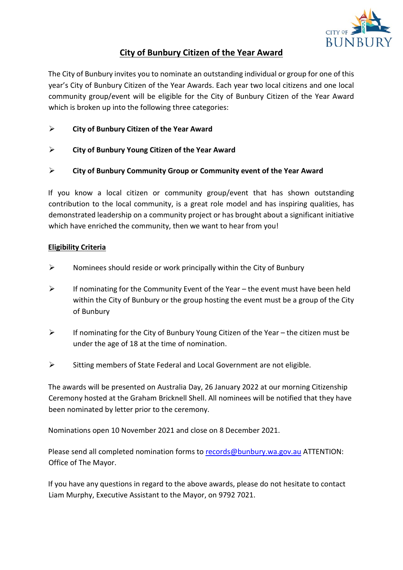

## **City of Bunbury Citizen of the Year Award**

The City of Bunbury invites you to nominate an outstanding individual or group for one of this year's City of Bunbury Citizen of the Year Awards. Each year two local citizens and one local community group/event will be eligible for the City of Bunbury Citizen of the Year Award which is broken up into the following three categories:

- **City of Bunbury Citizen of the Year Award**
- **City of Bunbury Young Citizen of the Year Award**
- **City of Bunbury Community Group or Community event of the Year Award**

If you know a local citizen or community group/event that has shown outstanding contribution to the local community, is a great role model and has inspiring qualities, has demonstrated leadership on a community project or has brought about a significant initiative which have enriched the community, then we want to hear from you!

## **Eligibility Criteria**

- $\triangleright$  Nominees should reside or work principally within the City of Bunbury
- $\triangleright$  If nominating for the Community Event of the Year the event must have been held within the City of Bunbury or the group hosting the event must be a group of the City of Bunbury
- $\triangleright$  If nominating for the City of Bunbury Young Citizen of the Year the citizen must be under the age of 18 at the time of nomination.
- $\triangleright$  Sitting members of State Federal and Local Government are not eligible.

The awards will be presented on Australia Day, 26 January 2022 at our morning Citizenship Ceremony hosted at the Graham Bricknell Shell. All nominees will be notified that they have been nominated by letter prior to the ceremony.

Nominations open 10 November 2021 and close on 8 December 2021.

Please send all completed nomination forms to records@bunbury.wa.gov.au ATTENTION: Office of The Mayor.

If you have any questions in regard to the above awards, please do not hesitate to contact Liam Murphy, Executive Assistant to the Mayor, on 9792 7021.